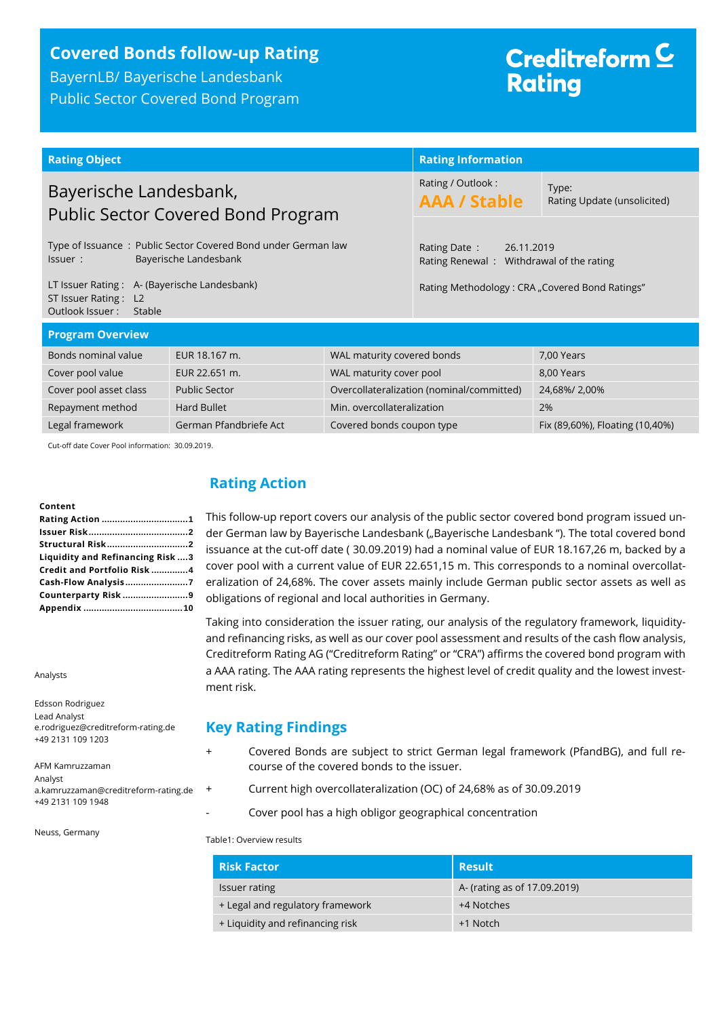## **Covered Bonds follow-up Rating**

BayernLB/ Bayerische Landesbank Public Sector Covered Bond Program

## Creditreform<sup>C</sup> **Rating**

| <b>Rating Object</b>                                                                              |  | <b>Rating Information</b>                                              |                                      |  |
|---------------------------------------------------------------------------------------------------|--|------------------------------------------------------------------------|--------------------------------------|--|
| Bayerische Landesbank,<br><b>Public Sector Covered Bond Program</b>                               |  | Rating / Outlook:<br><b>AAA / Stable</b>                               | Type:<br>Rating Update (unsolicited) |  |
| Type of Issuance: Public Sector Covered Bond under German law<br>Bayerische Landesbank<br>Issuer: |  | Rating Date:<br>26.11.2019<br>Rating Renewal: Withdrawal of the rating |                                      |  |
| LT Issuer Rating: A- (Bayerische Landesbank)<br>ST Issuer Rating: L2<br>Outlook Issuer:<br>Stable |  | Rating Methodology: CRA "Covered Bond Ratings"                         |                                      |  |
| <b>Program Overview</b>                                                                           |  |                                                                        |                                      |  |
| Bonds nominal value<br>EUR 18.167 m.<br>WAL maturity covered bonds                                |  |                                                                        | 7.00 Years                           |  |

| -Bonds nominal value   | EUR 18.167 M.          | WAL maturity covered bonds                | 7,00 Years                      |
|------------------------|------------------------|-------------------------------------------|---------------------------------|
| Cover pool value       | EUR 22.651 m.          | WAL maturity cover pool                   | 8,00 Years                      |
| Cover pool asset class | <b>Public Sector</b>   | Overcollateralization (nominal/committed) | 24,68%/2,00%                    |
| Repayment method       | Hard Bullet            | Min. overcollateralization                | 2%                              |
| Legal framework        | German Pfandbriefe Act | Covered bonds coupon type                 | Fix (89,60%), Floating (10,40%) |
|                        |                        |                                           |                                 |

Cut-off date Cover Pool information: 30.09.2019.

#### **Content**

| Liquidity and Refinancing Risk  3 |
|-----------------------------------|
| Credit and Portfolio Risk 4       |
|                                   |
| Counterparty Risk 9               |
|                                   |
|                                   |

Analysts

Edsson Rodriguez Lead Analyst e.rodriguez@creditreform-rating.de +49 2131 109 1203

AFM Kamruzzaman Analyst a.kamruzzaman@creditreform-rating.de +49 2131 109 1948

Neuss, Germany

## <span id="page-0-0"></span>**Rating Action**

This follow-up report covers our analysis of the public sector covered bond program issued under German law by Bayerische Landesbank ("Bayerische Landesbank"). The total covered bond issuance at the cut-off date ( 30.09.2019) had a nominal value of EUR 18.167,26 m, backed by a cover pool with a current value of EUR 22.651,15 m. This corresponds to a nominal overcollateralization of 24,68%. The cover assets mainly include German public sector assets as well as obligations of regional and local authorities in Germany.

Taking into consideration the issuer rating, our analysis of the regulatory framework, liquidityand refinancing risks, as well as our cover pool assessment and results of the cash flow analysis, Creditreform Rating AG ("Creditreform Rating" or "CRA") affirms the covered bond program with a AAA rating. The AAA rating represents the highest level of credit quality and the lowest investment risk.

#### **Key Rating Findings**

- + Covered Bonds are subject to strict German legal framework (PfandBG), and full recourse of the covered bonds to the issuer.
- + Current high overcollateralization (OC) of 24,68% as of 30.09.2019
	- Cover pool has a high obligor geographical concentration

Table1: Overview results

| <b>Risk Factor</b>               | <b>Result</b>                |
|----------------------------------|------------------------------|
| Issuer rating                    | A- (rating as of 17.09.2019) |
| + Legal and regulatory framework | +4 Notches                   |
| + Liquidity and refinancing risk | +1 Notch                     |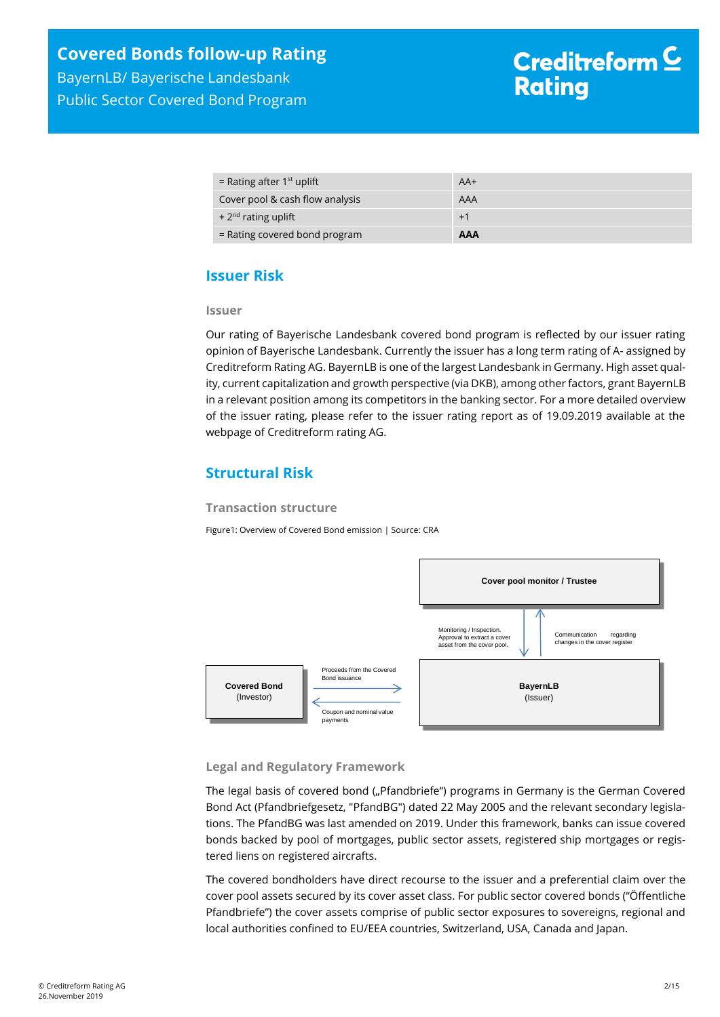| = Rating after $1st$ uplift     | $AA+$      |
|---------------------------------|------------|
| Cover pool & cash flow analysis | AAA        |
| $+2nd$ rating uplift            | $+1$       |
| $=$ Rating covered bond program | <b>AAA</b> |

## <span id="page-1-0"></span>**Issuer Risk**

#### **Issuer**

Our rating of Bayerische Landesbank covered bond program is reflected by our issuer rating opinion of Bayerische Landesbank. Currently the issuer has a long term rating of A- assigned by Creditreform Rating AG. BayernLB is one of the largest Landesbank in Germany. High asset quality, current capitalization and growth perspective (via DKB), among other factors, grant BayernLB in a relevant position among its competitors in the banking sector. For a more detailed overview of the issuer rating, please refer to the issuer rating report as of 19.09.2019 available at the webpage of Creditreform rating AG.

## <span id="page-1-1"></span>**Structural Risk**

#### **Transaction structure**

Figure1: Overview of Covered Bond emission | Source: CRA



#### **Legal and Regulatory Framework**

The legal basis of covered bond ("Pfandbriefe") programs in Germany is the German Covered Bond Act (Pfandbriefgesetz, "PfandBG") dated 22 May 2005 and the relevant secondary legislations. The PfandBG was last amended on 2019. Under this framework, banks can issue covered bonds backed by pool of mortgages, public sector assets, registered ship mortgages or registered liens on registered aircrafts.

The covered bondholders have direct recourse to the issuer and a preferential claim over the cover pool assets secured by its cover asset class. For public sector covered bonds ("Öffentliche Pfandbriefe") the cover assets comprise of public sector exposures to sovereigns, regional and local authorities confined to EU/EEA countries, Switzerland, USA, Canada and Japan.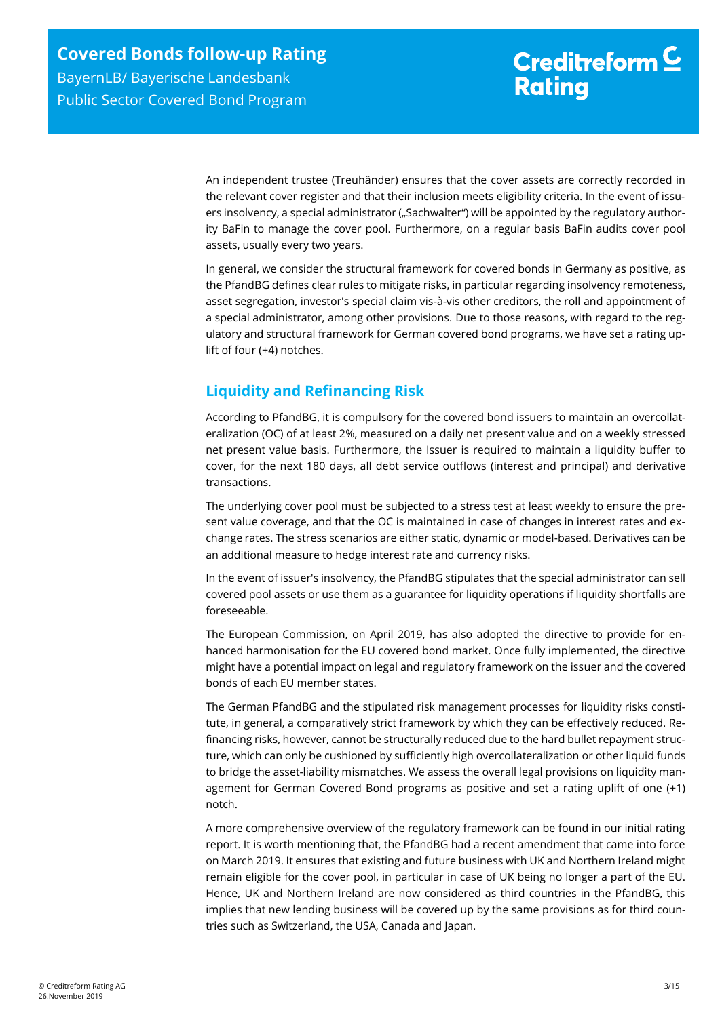An independent trustee (Treuhänder) ensures that the cover assets are correctly recorded in the relevant cover register and that their inclusion meets eligibility criteria. In the event of issuers insolvency, a special administrator ("Sachwalter") will be appointed by the regulatory authority BaFin to manage the cover pool. Furthermore, on a regular basis BaFin audits cover pool assets, usually every two years.

In general, we consider the structural framework for covered bonds in Germany as positive, as the PfandBG defines clear rules to mitigate risks, in particular regarding insolvency remoteness, asset segregation, investor's special claim vis-à-vis other creditors, the roll and appointment of a special administrator, among other provisions. Due to those reasons, with regard to the regulatory and structural framework for German covered bond programs, we have set a rating uplift of four (+4) notches.

## <span id="page-2-0"></span>**Liquidity and Refinancing Risk**

According to PfandBG, it is compulsory for the covered bond issuers to maintain an overcollateralization (OC) of at least 2%, measured on a daily net present value and on a weekly stressed net present value basis. Furthermore, the Issuer is required to maintain a liquidity buffer to cover, for the next 180 days, all debt service outflows (interest and principal) and derivative transactions.

The underlying cover pool must be subjected to a stress test at least weekly to ensure the present value coverage, and that the OC is maintained in case of changes in interest rates and exchange rates. The stress scenarios are either static, dynamic or model-based. Derivatives can be an additional measure to hedge interest rate and currency risks.

In the event of issuer's insolvency, the PfandBG stipulates that the special administrator can sell covered pool assets or use them as a guarantee for liquidity operations if liquidity shortfalls are foreseeable.

The European Commission, on April 2019, has also adopted the directive to provide for enhanced harmonisation for the EU covered bond market. Once fully implemented, the directive might have a potential impact on legal and regulatory framework on the issuer and the covered bonds of each EU member states.

The German PfandBG and the stipulated risk management processes for liquidity risks constitute, in general, a comparatively strict framework by which they can be effectively reduced. Refinancing risks, however, cannot be structurally reduced due to the hard bullet repayment structure, which can only be cushioned by sufficiently high overcollateralization or other liquid funds to bridge the asset-liability mismatches. We assess the overall legal provisions on liquidity management for German Covered Bond programs as positive and set a rating uplift of one (+1) notch.

A more comprehensive overview of the regulatory framework can be found in our initial rating report. It is worth mentioning that, the PfandBG had a recent amendment that came into force on March 2019. It ensures that existing and future business with UK and Northern Ireland might remain eligible for the cover pool, in particular in case of UK being no longer a part of the EU. Hence, UK and Northern Ireland are now considered as third countries in the PfandBG, this implies that new lending business will be covered up by the same provisions as for third countries such as Switzerland, the USA, Canada and Japan.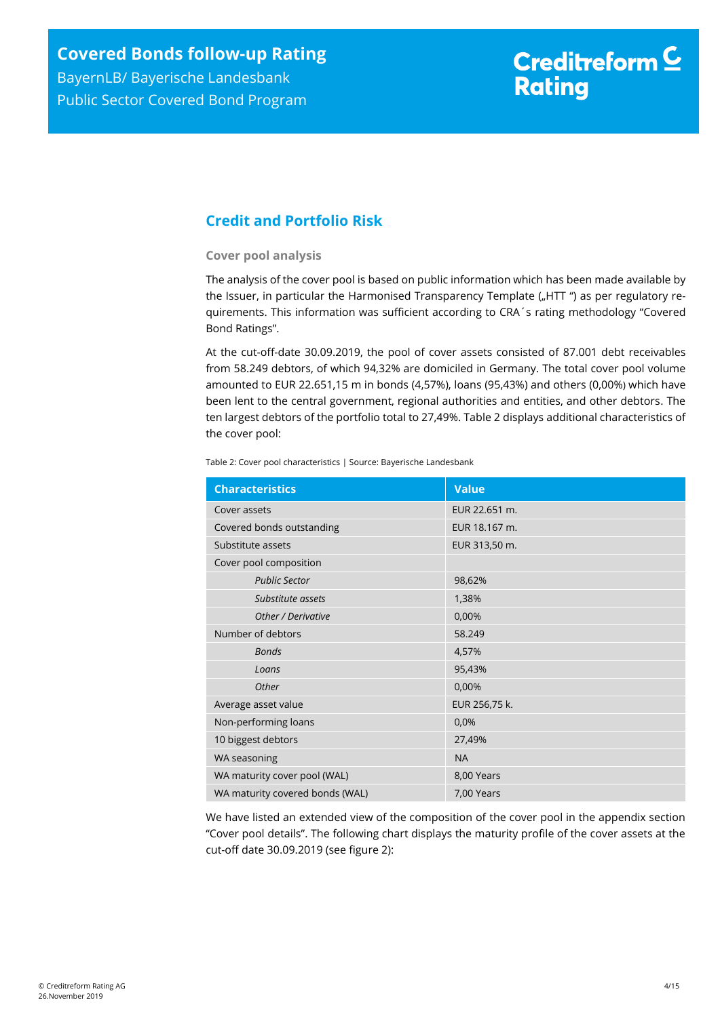## <span id="page-3-0"></span>**Credit and Portfolio Risk**

#### **Cover pool analysis**

The analysis of the cover pool is based on public information which has been made available by the Issuer, in particular the Harmonised Transparency Template ("HTT ") as per regulatory requirements. This information was sufficient according to CRA´s rating methodology "Covered Bond Ratings".

At the cut-off-date 30.09.2019, the pool of cover assets consisted of 87.001 debt receivables from 58.249 debtors, of which 94,32% are domiciled in Germany. The total cover pool volume amounted to EUR 22.651,15 m in bonds (4,57%), loans (95,43%) and others (0,00%) which have been lent to the central government, regional authorities and entities, and other debtors. The ten largest debtors of the portfolio total to 27,49%. [Table 2](#page-3-1) displays additional characteristics of the cover pool:

<span id="page-3-1"></span>Table 2: Cover pool characteristics | Source: Bayerische Landesbank

| <b>Characteristics</b>          | <b>Value</b>  |
|---------------------------------|---------------|
| Cover assets                    | EUR 22.651 m. |
| Covered bonds outstanding       | EUR 18.167 m. |
| Substitute assets               | EUR 313,50 m. |
| Cover pool composition          |               |
| <b>Public Sector</b>            | 98,62%        |
| Substitute assets               | 1,38%         |
| Other / Derivative              | 0,00%         |
| Number of debtors               | 58.249        |
| <b>Bonds</b>                    | 4,57%         |
| Loans                           | 95,43%        |
| Other                           | 0,00%         |
| Average asset value             | EUR 256,75 k. |
| Non-performing loans            | 0,0%          |
| 10 biggest debtors              | 27,49%        |
| WA seasoning                    | <b>NA</b>     |
| WA maturity cover pool (WAL)    | 8,00 Years    |
| WA maturity covered bonds (WAL) | 7,00 Years    |

We have listed an extended view of the composition of the cover pool in the appendix section "Cover pool details". The following chart displays the maturity profile of the cover assets at the cut-off date 30.09.2019 (see [figure 2\)](#page-4-0):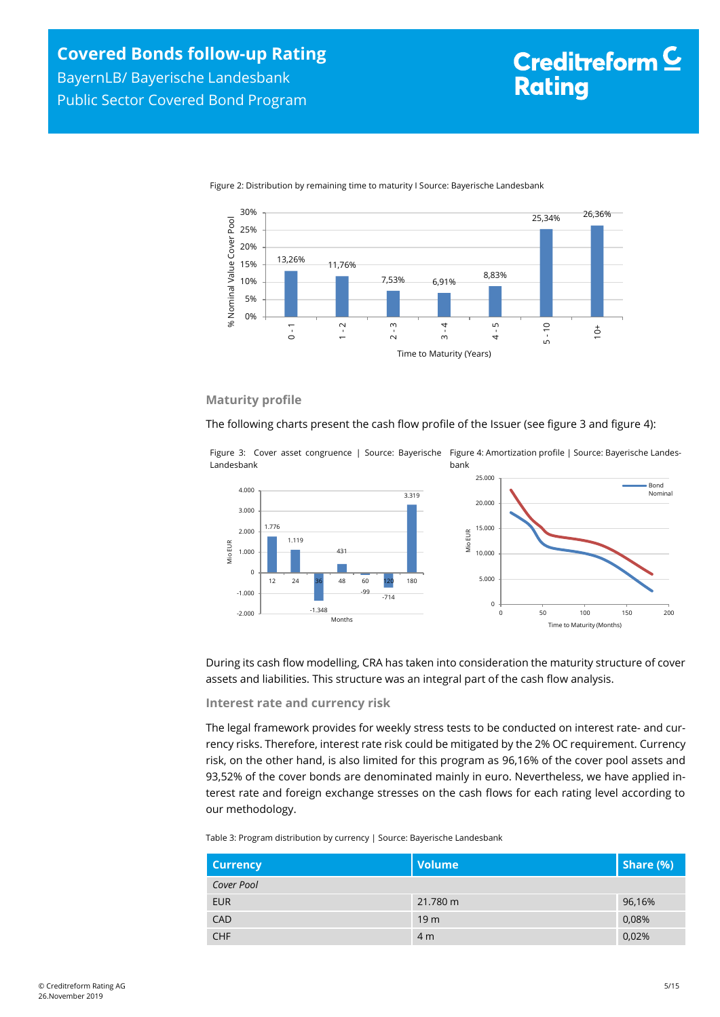<span id="page-4-0"></span>



#### **Maturity profile**

The following charts present the cash flow profile of the Issuer (see [figure 3](#page-4-1) an[d figure 4\)](#page-4-2):

<span id="page-4-1"></span>Figure 3: Cover asset congruence | Source: Bayerische Figure 4: Amortization profile | Source: Bayerische Landes-Landesbank bank

<span id="page-4-2"></span>

During its cash flow modelling, CRA has taken into consideration the maturity structure of cover assets and liabilities. This structure was an integral part of the cash flow analysis.

#### **Interest rate and currency risk**

The legal framework provides for weekly stress tests to be conducted on interest rate- and currency risks. Therefore, interest rate risk could be mitigated by the 2% OC requirement. Currency risk, on the other hand, is also limited for this program as 96,16% of the cover pool assets and 93,52% of the cover bonds are denominated mainly in euro. Nevertheless, we have applied interest rate and foreign exchange stresses on the cash flows for each rating level according to our methodology.

Table 3: Program distribution by currency | Source: Bayerische Landesbank

| <b>Currency</b> | <b>Volume</b>   | Share (%) |
|-----------------|-----------------|-----------|
| Cover Pool      |                 |           |
| <b>EUR</b>      | 21.780 m        | 96,16%    |
| <b>CAD</b>      | 19 <sub>m</sub> | 0,08%     |
| <b>CHF</b>      | 4 <sub>m</sub>  | 0,02%     |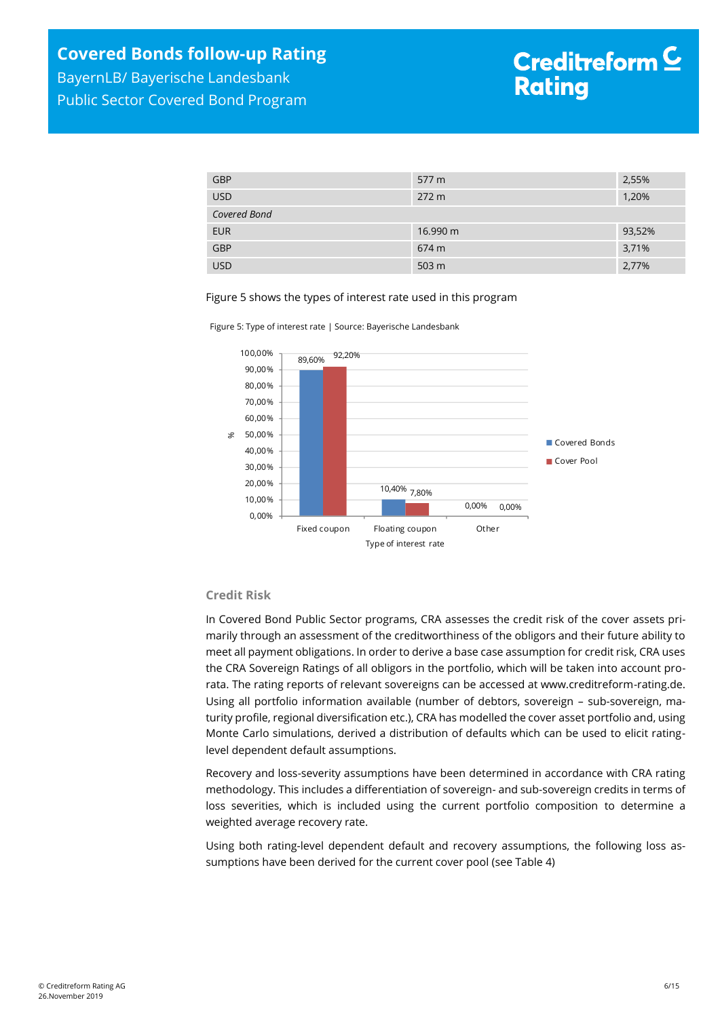| <b>GBP</b>   | 577 m    | 2,55%  |
|--------------|----------|--------|
| <b>USD</b>   | 272 m    | 1,20%  |
| Covered Bond |          |        |
| <b>EUR</b>   | 16.990 m | 93,52% |
| GBP          | 674 m    | 3,71%  |
| <b>USD</b>   | 503 m    | 2,77%  |

Figure 5 shows the types of interest rate used in this program





#### **Credit Risk**

In Covered Bond Public Sector programs, CRA assesses the credit risk of the cover assets primarily through an assessment of the creditworthiness of the obligors and their future ability to meet all payment obligations. In order to derive a base case assumption for credit risk, CRA uses the CRA Sovereign Ratings of all obligors in the portfolio, which will be taken into account prorata. The rating reports of relevant sovereigns can be accessed at www.creditreform-rating.de. Using all portfolio information available (number of debtors, sovereign – sub-sovereign, maturity profile, regional diversification etc.), CRA has modelled the cover asset portfolio and, using Monte Carlo simulations, derived a distribution of defaults which can be used to elicit ratinglevel dependent default assumptions.

Recovery and loss-severity assumptions have been determined in accordance with CRA rating methodology. This includes a differentiation of sovereign- and sub-sovereign credits in terms of loss severities, which is included using the current portfolio composition to determine a weighted average recovery rate.

Using both rating-level dependent default and recovery assumptions, the following loss assumptions have been derived for the current cover pool (see [Table 4\)](#page-6-1)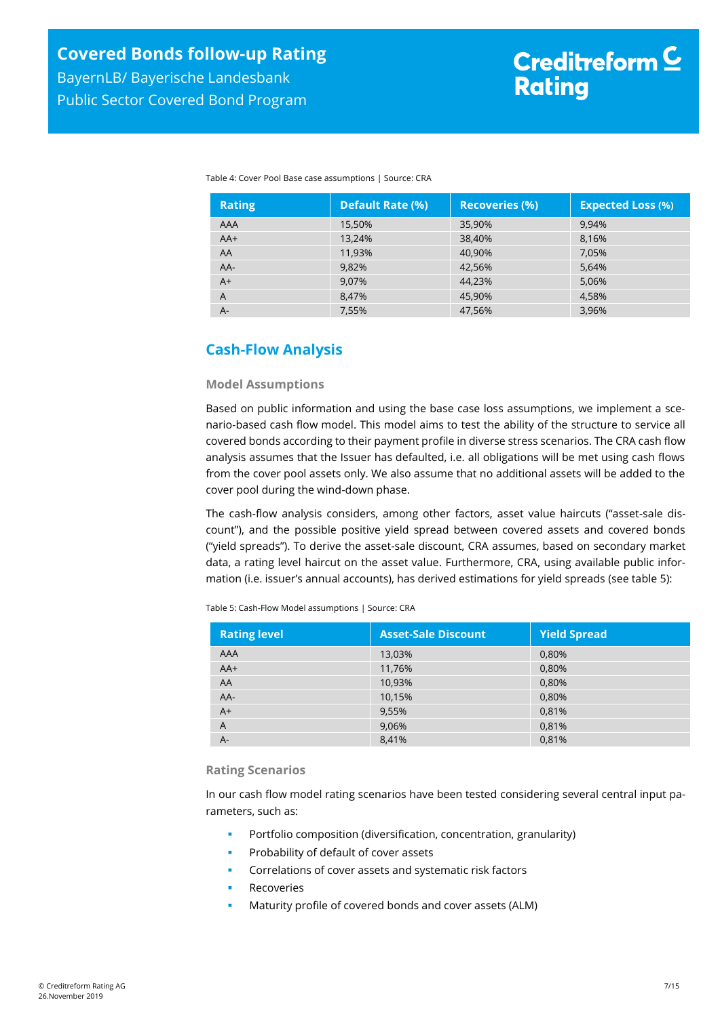Public Sector Covered Bond Program

**Rational Loss (%)** 

<span id="page-6-1"></span>

| Table 4: Cover Pool Base case assumptions   Source: CRA |                  |                       |               |
|---------------------------------------------------------|------------------|-----------------------|---------------|
| <b>Rating</b>                                           | Default Rate (%) | <b>Recoveries (%)</b> | <b>Expect</b> |
| AAA                                                     | 15,50%           | 35,90%                | 9.94%         |

 $AA+$  13,24% 38,40% 38,40% 8,16% AA 11,93% 40,90% 7,05% AA- 9,82% 42,56% 5,64% A+ 9,07% 44,23% 5,06% 5,06% A  $8,47\%$   $8,47\%$   $45,90\%$   $4,58\%$ A- 7,55% 47,56% 3,96%

## <span id="page-6-0"></span>**Cash-Flow Analysis**

#### **Model Assumptions**

Based on public information and using the base case loss assumptions, we implement a scenario-based cash flow model. This model aims to test the ability of the structure to service all covered bonds according to their payment profile in diverse stress scenarios. The CRA cash flow analysis assumes that the Issuer has defaulted, i.e. all obligations will be met using cash flows from the cover pool assets only. We also assume that no additional assets will be added to the cover pool during the wind-down phase.

The cash-flow analysis considers, among other factors, asset value haircuts ("asset-sale discount"), and the possible positive yield spread between covered assets and covered bonds ("yield spreads"). To derive the asset-sale discount, CRA assumes, based on secondary market data, a rating level haircut on the asset value. Furthermore, CRA, using available public information (i.e. issuer's annual accounts), has derived estimations for yield spreads (se[e table 5\)](#page-6-2):

<span id="page-6-2"></span>Table 5: Cash-Flow Model assumptions | Source: CRA

| <b>Rating level</b> | <b>Asset-Sale Discount</b> | <b>Yield Spread</b> |
|---------------------|----------------------------|---------------------|
| AAA                 | 13,03%                     | 0,80%               |
| $AA+$               | 11,76%                     | 0,80%               |
| AA                  | 10,93%                     | 0,80%               |
| AA-                 | 10,15%                     | 0,80%               |
| $A+$                | 9,55%                      | 0,81%               |
| A                   | 9,06%                      | 0,81%               |
| $A -$               | 8,41%                      | 0,81%               |

#### **Rating Scenarios**

In our cash flow model rating scenarios have been tested considering several central input parameters, such as:

- Portfolio composition (diversification, concentration, granularity)
- Probability of default of cover assets
- Correlations of cover assets and systematic risk factors
- Recoveries
- Maturity profile of covered bonds and cover assets (ALM)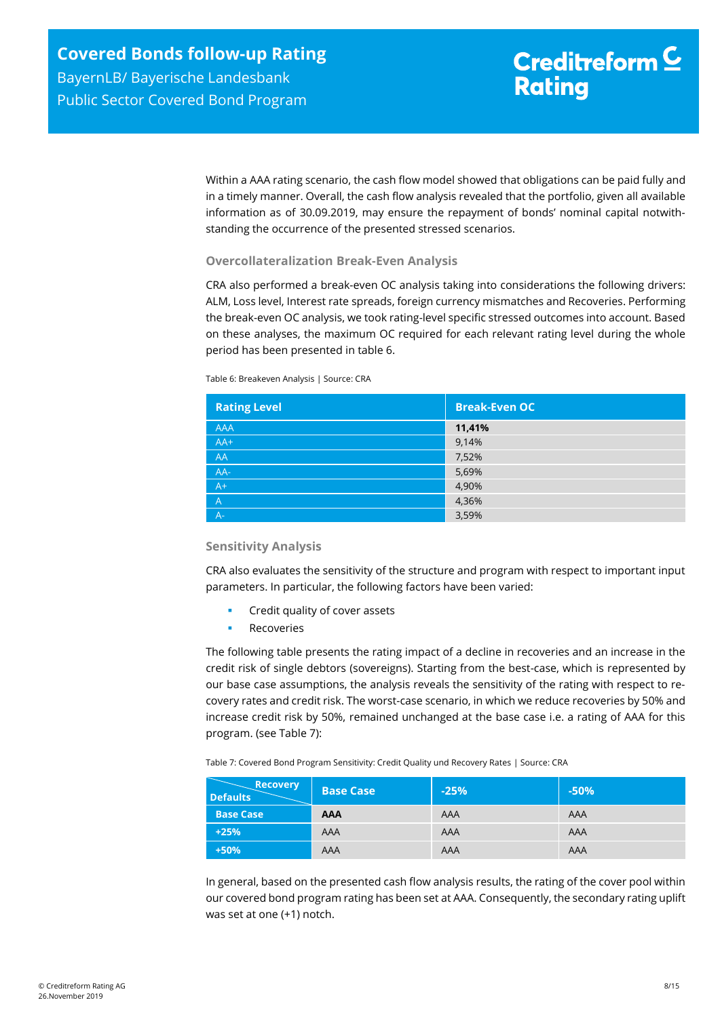Within a AAA rating scenario, the cash flow model showed that obligations can be paid fully and in a timely manner. Overall, the cash flow analysis revealed that the portfolio, given all available information as of 30.09.2019, may ensure the repayment of bonds' nominal capital notwithstanding the occurrence of the presented stressed scenarios.

#### **Overcollateralization Break-Even Analysis**

CRA also performed a break-even OC analysis taking into considerations the following drivers: ALM, Loss level, Interest rate spreads, foreign currency mismatches and Recoveries. Performing the break-even OC analysis, we took rating-level specific stressed outcomes into account. Based on these analyses, the maximum OC required for each relevant rating level during the whole period has been presented in [table 6.](#page-7-0)

<span id="page-7-0"></span>Table 6: Breakeven Analysis | Source: CRA

| <b>Rating Level</b> | <b>Break-Even OC</b> |
|---------------------|----------------------|
| <b>AAA</b>          | 11,41%               |
| $AA+$               | 9,14%                |
| AA                  | 7,52%                |
| AA-                 | 5,69%                |
| $A+$                | 4,90%                |
| $\mathsf{A}$        | 4,36%                |
| $A -$               | 3,59%                |

#### **Sensitivity Analysis**

CRA also evaluates the sensitivity of the structure and program with respect to important input parameters. In particular, the following factors have been varied:

- Credit quality of cover assets
- Recoveries

The following table presents the rating impact of a decline in recoveries and an increase in the credit risk of single debtors (sovereigns). Starting from the best-case, which is represented by our base case assumptions, the analysis reveals the sensitivity of the rating with respect to recovery rates and credit risk. The worst-case scenario, in which we reduce recoveries by 50% and increase credit risk by 50%, remained unchanged at the base case i.e. a rating of AAA for this program. (see [Table 7\)](#page-7-1):

<span id="page-7-1"></span>Table 7: Covered Bond Program Sensitivity: Credit Quality und Recovery Rates | Source: CRA

| <b>Recovery</b><br><b>Defaults</b> | <b>Base Case</b> | $-25%$ | $-50%$ |
|------------------------------------|------------------|--------|--------|
| <b>Base Case</b>                   | <b>AAA</b>       | AAA    | AAA    |
| $+25%$                             | AAA              | AAA    | AAA    |
| $+50%$                             | AAA              | AAA    | AAA    |

In general, based on the presented cash flow analysis results, the rating of the cover pool within our covered bond program rating has been set at AAA. Consequently, the secondary rating uplift was set at one (+1) notch.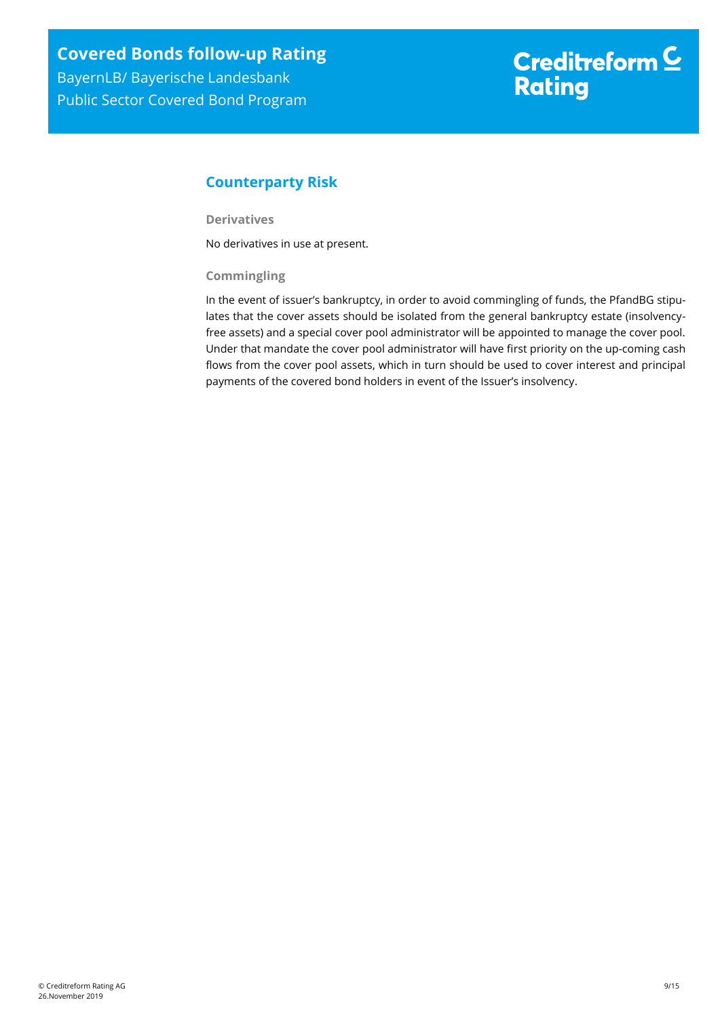## <span id="page-8-0"></span>**Counterparty Risk**

**Derivatives**

No derivatives in use at present.

#### **Commingling**

In the event of issuer's bankruptcy, in order to avoid commingling of funds, the PfandBG stipulates that the cover assets should be isolated from the general bankruptcy estate (insolvencyfree assets) and a special cover pool administrator will be appointed to manage the cover pool. Under that mandate the cover pool administrator will have first priority on the up-coming cash flows from the cover pool assets, which in turn should be used to cover interest and principal payments of the covered bond holders in event of the Issuer's insolvency.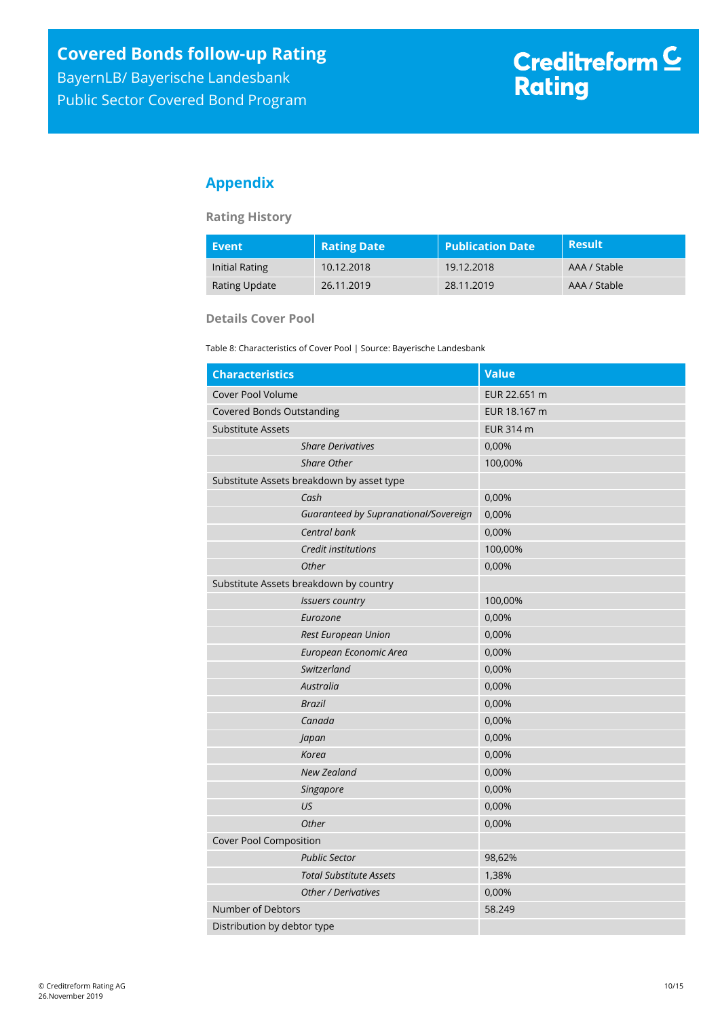Public Sector Covered Bond Program

## <span id="page-9-0"></span>**Appendix**

#### **Rating History**

| Event          | <b>Rating Date</b> | <b>Publication Date</b> | <b>Result</b> |
|----------------|--------------------|-------------------------|---------------|
| Initial Rating | 10.12.2018         | 19.12.2018              | AAA / Stable  |
| Rating Update  | 26.11.2019         | 28.11.2019              | AAA / Stable  |

#### **Details Cover Pool**

Table 8: Characteristics of Cover Pool | Source: Bayerische Landesbank

| <b>Characteristics</b>                    | <b>Value</b> |
|-------------------------------------------|--------------|
| Cover Pool Volume                         | EUR 22.651 m |
| <b>Covered Bonds Outstanding</b>          | EUR 18.167 m |
| <b>Substitute Assets</b>                  | EUR 314 m    |
| <b>Share Derivatives</b>                  | 0,00%        |
| <b>Share Other</b>                        | 100,00%      |
| Substitute Assets breakdown by asset type |              |
| Cash                                      | 0,00%        |
| Guaranteed by Supranational/Sovereign     | 0,00%        |
| Central bank                              | 0,00%        |
| Credit institutions                       | 100,00%      |
| Other                                     | 0,00%        |
| Substitute Assets breakdown by country    |              |
| <b>Issuers country</b>                    | 100,00%      |
| Eurozone                                  | 0,00%        |
| Rest European Union                       | 0,00%        |
| European Economic Area                    | 0,00%        |
| Switzerland                               | 0,00%        |
| Australia                                 | 0,00%        |
| <b>Brazil</b>                             | 0,00%        |
| Canada                                    | 0,00%        |
| Japan                                     | 0,00%        |
| Korea                                     | 0,00%        |
| <b>New Zealand</b>                        | 0,00%        |
| Singapore                                 | 0,00%        |
| US                                        | 0,00%        |
| Other                                     | 0,00%        |
| Cover Pool Composition                    |              |
| <b>Public Sector</b>                      | 98,62%       |
| <b>Total Substitute Assets</b>            | 1,38%        |
| <b>Other / Derivatives</b>                | 0,00%        |
| Number of Debtors                         | 58.249       |
| Distribution by debtor type               |              |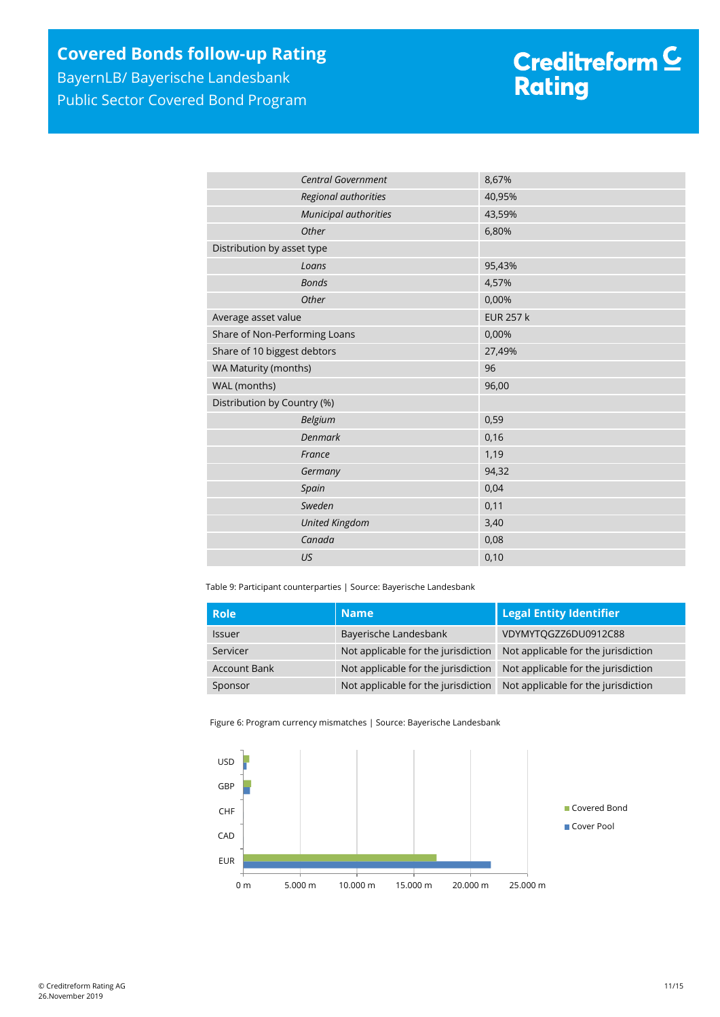## **Covered Bonds follow-up Rating**

BayernLB/ Bayerische Landesbank Public Sector Covered Bond Program

# Creditreform <mark>C</mark><br>Rating

|                               | <b>Central Government</b> | 8,67%            |
|-------------------------------|---------------------------|------------------|
| Regional authorities          |                           | 40,95%           |
|                               | Municipal authorities     | 43,59%           |
|                               | Other                     | 6,80%            |
| Distribution by asset type    |                           |                  |
| Loans                         |                           | 95,43%           |
|                               | <b>Bonds</b>              | 4,57%            |
|                               | Other                     | 0,00%            |
| Average asset value           |                           | <b>EUR 257 k</b> |
| Share of Non-Performing Loans |                           | 0,00%            |
| Share of 10 biggest debtors   |                           | 27,49%           |
| WA Maturity (months)          |                           | 96               |
| WAL (months)                  |                           | 96,00            |
| Distribution by Country (%)   |                           |                  |
|                               | Belgium                   | 0,59             |
|                               | <b>Denmark</b>            | 0,16             |
|                               | France                    | 1,19             |
|                               | Germany                   | 94,32            |
|                               | Spain                     | 0,04             |
|                               | Sweden                    | 0,11             |
|                               | <b>United Kingdom</b>     | 3,40             |
|                               | Canada                    | 0,08             |
|                               | US                        | 0,10             |
|                               |                           |                  |

Table 9: Participant counterparties | Source: Bayerische Landesbank

| <b>Role</b>         | <b>Name</b>                         | <b>Legal Entity Identifier</b>      |
|---------------------|-------------------------------------|-------------------------------------|
| <b>Issuer</b>       | Bayerische Landesbank               | VDYMYTOGZZ6DU0912C88                |
| Servicer            | Not applicable for the jurisdiction | Not applicable for the jurisdiction |
| <b>Account Bank</b> | Not applicable for the jurisdiction | Not applicable for the jurisdiction |
| Sponsor             | Not applicable for the jurisdiction | Not applicable for the jurisdiction |

Figure 6: Program currency mismatches | Source: Bayerische Landesbank

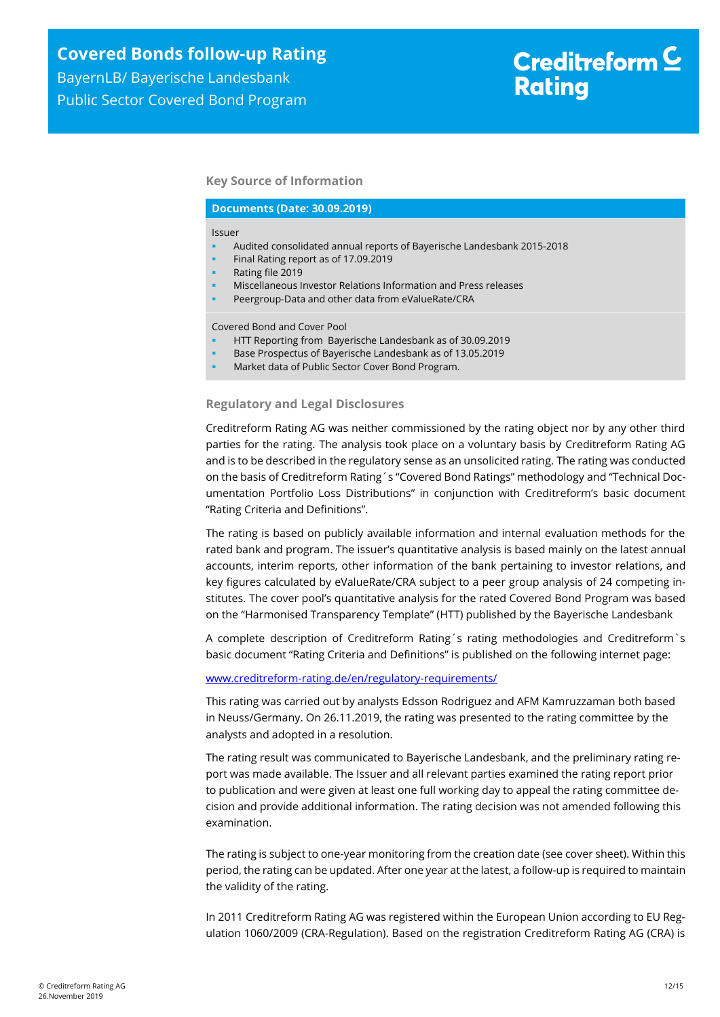#### **Key Source of Information**

#### **Documents (Date: 30.09.2019)**

Issuer

- Audited consolidated annual reports of Bayerische Landesbank 2015-2018
- Final Rating report as of 17.09.2019
- Rating file 2019
- Miscellaneous Investor Relations Information and Press releases
- Peergroup-Data and other data from eValueRate/CRA

Covered Bond and Cover Pool

- HTT Reporting from Bayerische Landesbank as of 30.09.2019
- Base Prospectus of Bayerische Landesbank as of 13.05.2019
- Market data of Public Sector Cover Bond Program.

#### **Regulatory and Legal Disclosures**

Creditreform Rating AG was neither commissioned by the rating object nor by any other third parties for the rating. The analysis took place on a voluntary basis by Creditreform Rating AG and is to be described in the regulatory sense as an unsolicited rating. The rating was conducted on the basis of Creditreform Rating´s "Covered Bond Ratings" methodology and "Technical Documentation Portfolio Loss Distributions" in conjunction with Creditreform's basic document "Rating Criteria and Definitions".

The rating is based on publicly available information and internal evaluation methods for the rated bank and program. The issuer's quantitative analysis is based mainly on the latest annual accounts, interim reports, other information of the bank pertaining to investor relations, and key figures calculated by eValueRate/CRA subject to a peer group analysis of 24 competing institutes. The cover pool's quantitative analysis for the rated Covered Bond Program was based on the "Harmonised Transparency Template" (HTT) published by the Bayerische Landesbank

A complete description of Creditreform Rating´s rating methodologies and Creditreform`s basic document "Rating Criteria and Definitions" is published on the following internet page:

#### [www.creditreform-rating.de/](http://www.creditreform-rating.de/)en/regulatory-requirements/

This rating was carried out by analysts Edsson Rodriguez and AFM Kamruzzaman both based in Neuss/Germany. On 26.11.2019, the rating was presented to the rating committee by the analysts and adopted in a resolution.

The rating result was communicated to Bayerische Landesbank, and the preliminary rating report was made available. The Issuer and all relevant parties examined the rating report prior to publication and were given at least one full working day to appeal the rating committee decision and provide additional information. The rating decision was not amended following this examination.

The rating is subject to one-year monitoring from the creation date (see cover sheet). Within this period, the rating can be updated. After one year at the latest, a follow-up is required to maintain the validity of the rating.

In 2011 Creditreform Rating AG was registered within the European Union according to EU Regulation 1060/2009 (CRA-Regulation). Based on the registration Creditreform Rating AG (CRA) is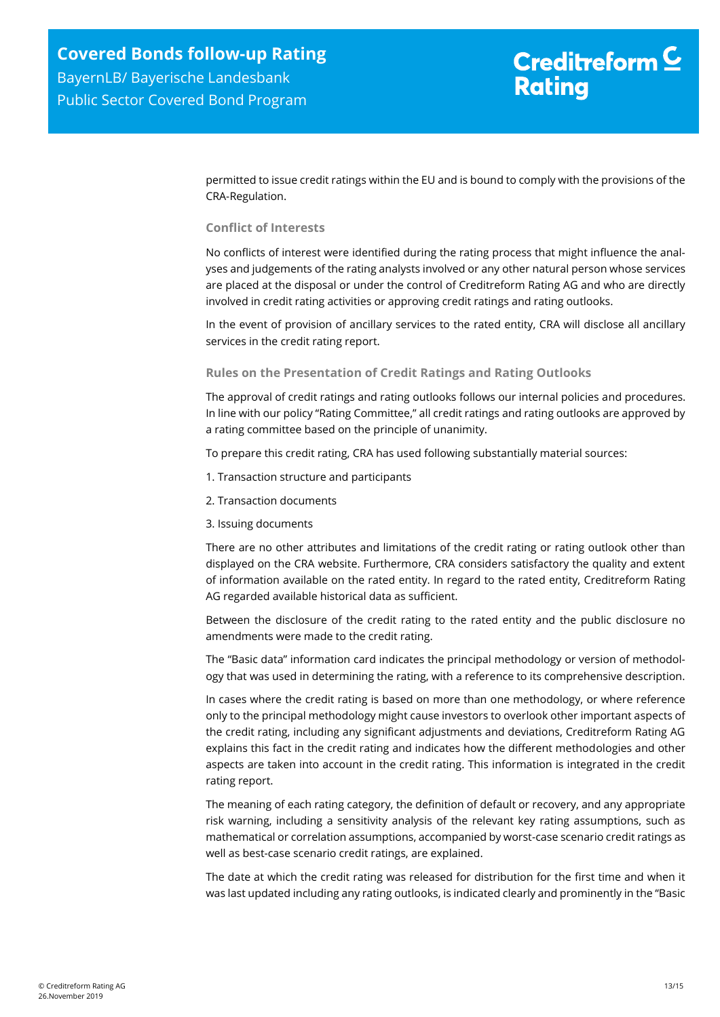permitted to issue credit ratings within the EU and is bound to comply with the provisions of the CRA-Regulation.

#### **Conflict of Interests**

No conflicts of interest were identified during the rating process that might influence the analyses and judgements of the rating analysts involved or any other natural person whose services are placed at the disposal or under the control of Creditreform Rating AG and who are directly involved in credit rating activities or approving credit ratings and rating outlooks.

In the event of provision of ancillary services to the rated entity, CRA will disclose all ancillary services in the credit rating report.

#### **Rules on the Presentation of Credit Ratings and Rating Outlooks**

The approval of credit ratings and rating outlooks follows our internal policies and procedures. In line with our policy "Rating Committee," all credit ratings and rating outlooks are approved by a rating committee based on the principle of unanimity.

To prepare this credit rating, CRA has used following substantially material sources:

- 1. Transaction structure and participants
- 2. Transaction documents
- 3. Issuing documents

There are no other attributes and limitations of the credit rating or rating outlook other than displayed on the CRA website. Furthermore, CRA considers satisfactory the quality and extent of information available on the rated entity. In regard to the rated entity, Creditreform Rating AG regarded available historical data as sufficient.

Between the disclosure of the credit rating to the rated entity and the public disclosure no amendments were made to the credit rating.

The "Basic data" information card indicates the principal methodology or version of methodology that was used in determining the rating, with a reference to its comprehensive description.

In cases where the credit rating is based on more than one methodology, or where reference only to the principal methodology might cause investors to overlook other important aspects of the credit rating, including any significant adjustments and deviations, Creditreform Rating AG explains this fact in the credit rating and indicates how the different methodologies and other aspects are taken into account in the credit rating. This information is integrated in the credit rating report.

The meaning of each rating category, the definition of default or recovery, and any appropriate risk warning, including a sensitivity analysis of the relevant key rating assumptions, such as mathematical or correlation assumptions, accompanied by worst-case scenario credit ratings as well as best-case scenario credit ratings, are explained.

The date at which the credit rating was released for distribution for the first time and when it was last updated including any rating outlooks, is indicated clearly and prominently in the "Basic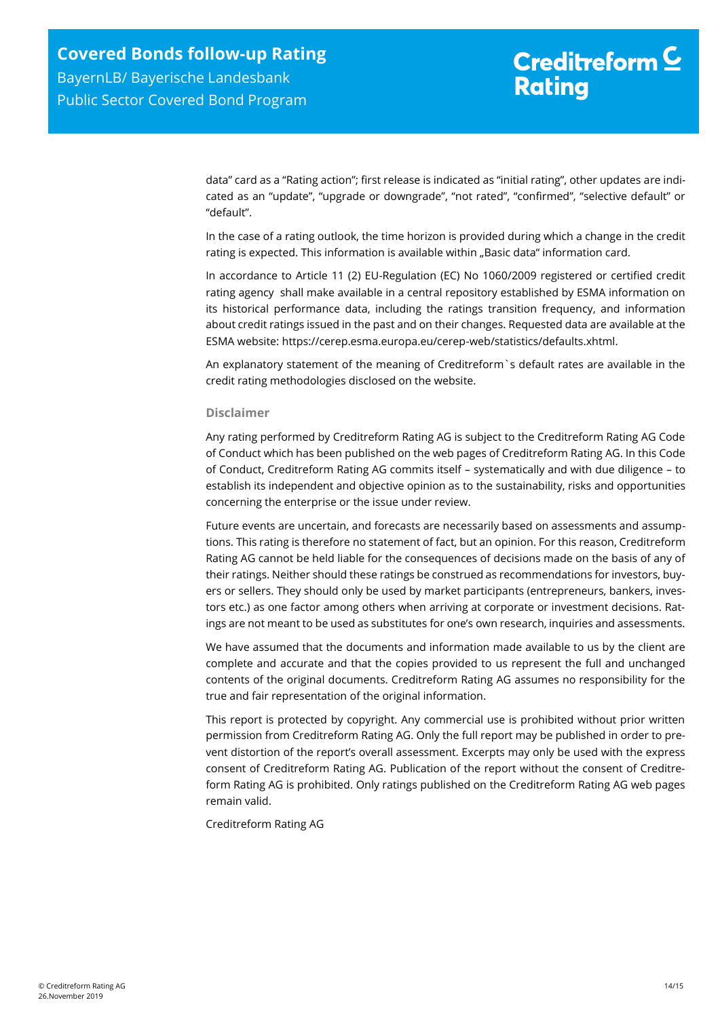data" card as a "Rating action"; first release is indicated as "initial rating", other updates are indicated as an "update", "upgrade or downgrade", "not rated", "confirmed", "selective default" or "default".

In the case of a rating outlook, the time horizon is provided during which a change in the credit rating is expected. This information is available within "Basic data" information card.

In accordance to Article 11 (2) EU-Regulation (EC) No 1060/2009 registered or certified credit rating agency shall make available in a central repository established by ESMA information on its historical performance data, including the ratings transition frequency, and information about credit ratings issued in the past and on their changes. Requested data are available at the ESMA website: https://cerep.esma.europa.eu/cerep-web/statistics/defaults.xhtml.

An explanatory statement of the meaning of Creditreform`s default rates are available in the credit rating methodologies disclosed on the website.

#### **Disclaimer**

Any rating performed by Creditreform Rating AG is subject to the Creditreform Rating AG Code of Conduct which has been published on the web pages of Creditreform Rating AG. In this Code of Conduct, Creditreform Rating AG commits itself – systematically and with due diligence – to establish its independent and objective opinion as to the sustainability, risks and opportunities concerning the enterprise or the issue under review.

Future events are uncertain, and forecasts are necessarily based on assessments and assumptions. This rating is therefore no statement of fact, but an opinion. For this reason, Creditreform Rating AG cannot be held liable for the consequences of decisions made on the basis of any of their ratings. Neither should these ratings be construed as recommendations for investors, buyers or sellers. They should only be used by market participants (entrepreneurs, bankers, investors etc.) as one factor among others when arriving at corporate or investment decisions. Ratings are not meant to be used as substitutes for one's own research, inquiries and assessments.

We have assumed that the documents and information made available to us by the client are complete and accurate and that the copies provided to us represent the full and unchanged contents of the original documents. Creditreform Rating AG assumes no responsibility for the true and fair representation of the original information.

This report is protected by copyright. Any commercial use is prohibited without prior written permission from Creditreform Rating AG. Only the full report may be published in order to prevent distortion of the report's overall assessment. Excerpts may only be used with the express consent of Creditreform Rating AG. Publication of the report without the consent of Creditreform Rating AG is prohibited. Only ratings published on the Creditreform Rating AG web pages remain valid.

Creditreform Rating AG